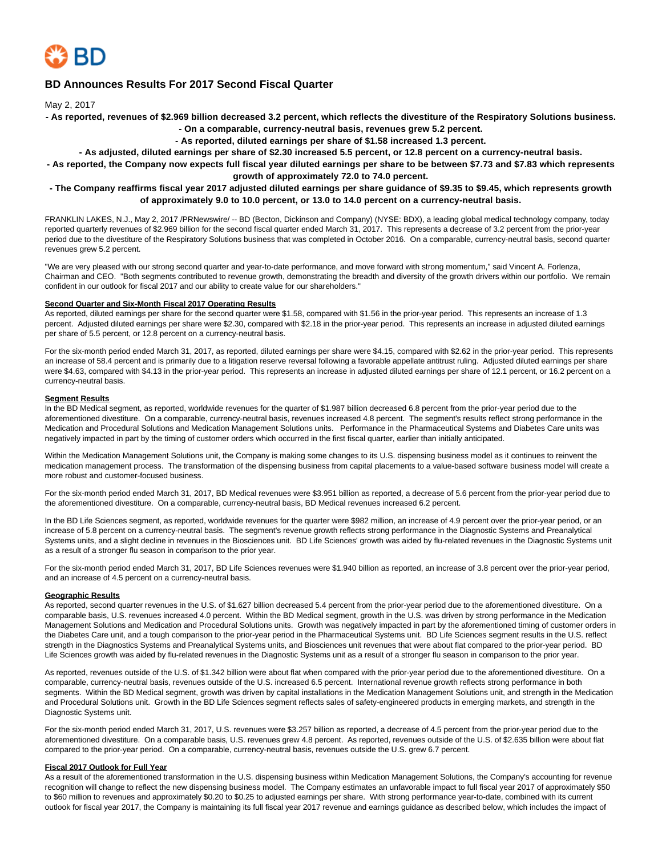

# **BD Announces Results For 2017 Second Fiscal Quarter**

May 2, 2017

**- As reported, revenues of \$2.969 billion decreased 3.2 percent, which reflects the divestiture of the Respiratory Solutions business.**

**- On a comparable, currency-neutral basis, revenues grew 5.2 percent.**

**- As reported, diluted earnings per share of \$1.58 increased 1.3 percent.**

**- As adjusted, diluted earnings per share of \$2.30 increased 5.5 percent, or 12.8 percent on a currency-neutral basis.**

**- As reported, the Company now expects full fiscal year diluted earnings per share to be between \$7.73 and \$7.83 which represents growth of approximately 72.0 to 74.0 percent.**

### **- The Company reaffirms fiscal year 2017 adjusted diluted earnings per share guidance of \$9.35 to \$9.45, which represents growth of approximately 9.0 to 10.0 percent, or 13.0 to 14.0 percent on a currency-neutral basis.**

FRANKLIN LAKES, N.J., May 2, 2017 /PRNewswire/ -- BD (Becton, Dickinson and Company) (NYSE: BDX), a leading global medical technology company, today reported quarterly revenues of \$2.969 billion for the second fiscal quarter ended March 31, 2017. This represents a decrease of 3.2 percent from the prior-year period due to the divestiture of the Respiratory Solutions business that was completed in October 2016. On a comparable, currency-neutral basis, second quarter revenues grew 5.2 percent.

"We are very pleased with our strong second quarter and year-to-date performance, and move forward with strong momentum," said Vincent A. Forlenza, Chairman and CEO. "Both segments contributed to revenue growth, demonstrating the breadth and diversity of the growth drivers within our portfolio. We remain confident in our outlook for fiscal 2017 and our ability to create value for our shareholders."

### **Second Quarter and Six-Month Fiscal 2017 Operating Results**

As reported, diluted earnings per share for the second quarter were \$1.58, compared with \$1.56 in the prior-year period. This represents an increase of 1.3 percent. Adjusted diluted earnings per share were \$2.30, compared with \$2.18 in the prior-year period. This represents an increase in adjusted diluted earnings per share of 5.5 percent, or 12.8 percent on a currency-neutral basis.

For the six-month period ended March 31, 2017, as reported, diluted earnings per share were \$4.15, compared with \$2.62 in the prior-year period. This represents an increase of 58.4 percent and is primarily due to a litigation reserve reversal following a favorable appellate antitrust ruling. Adjusted diluted earnings per share were \$4.63, compared with \$4.13 in the prior-year period. This represents an increase in adjusted diluted earnings per share of 12.1 percent, or 16.2 percent on a currency-neutral basis.

#### **Segment Results**

In the BD Medical segment, as reported, worldwide revenues for the quarter of \$1.987 billion decreased 6.8 percent from the prior-year period due to the aforementioned divestiture. On a comparable, currency-neutral basis, revenues increased 4.8 percent. The segment's results reflect strong performance in the Medication and Procedural Solutions and Medication Management Solutions units. Performance in the Pharmaceutical Systems and Diabetes Care units was negatively impacted in part by the timing of customer orders which occurred in the first fiscal quarter, earlier than initially anticipated.

Within the Medication Management Solutions unit, the Company is making some changes to its U.S. dispensing business model as it continues to reinvent the medication management process. The transformation of the dispensing business from capital placements to a value-based software business model will create a more robust and customer-focused business.

For the six-month period ended March 31, 2017, BD Medical revenues were \$3.951 billion as reported, a decrease of 5.6 percent from the prior-year period due to the aforementioned divestiture. On a comparable, currency-neutral basis, BD Medical revenues increased 6.2 percent.

In the BD Life Sciences segment, as reported, worldwide revenues for the quarter were \$982 million, an increase of 4.9 percent over the prior-year period, or an increase of 5.8 percent on a currency-neutral basis. The segment's revenue growth reflects strong performance in the Diagnostic Systems and Preanalytical Systems units, and a slight decline in revenues in the Biosciences unit. BD Life Sciences' growth was aided by flu-related revenues in the Diagnostic Systems unit as a result of a stronger flu season in comparison to the prior year.

For the six-month period ended March 31, 2017, BD Life Sciences revenues were \$1.940 billion as reported, an increase of 3.8 percent over the prior-year period, and an increase of 4.5 percent on a currency-neutral basis.

#### **Geographic Results**

As reported, second quarter revenues in the U.S. of \$1.627 billion decreased 5.4 percent from the prior-year period due to the aforementioned divestiture. On a comparable basis, U.S. revenues increased 4.0 percent. Within the BD Medical segment, growth in the U.S. was driven by strong performance in the Medication Management Solutions and Medication and Procedural Solutions units. Growth was negatively impacted in part by the aforementioned timing of customer orders in the Diabetes Care unit, and a tough comparison to the prior-year period in the Pharmaceutical Systems unit. BD Life Sciences segment results in the U.S. reflect strength in the Diagnostics Systems and Preanalytical Systems units, and Biosciences unit revenues that were about flat compared to the prior-year period. BD Life Sciences growth was aided by flu-related revenues in the Diagnostic Systems unit as a result of a stronger flu season in comparison to the prior year.

As reported, revenues outside of the U.S. of \$1.342 billion were about flat when compared with the prior-year period due to the aforementioned divestiture. On a comparable, currency-neutral basis, revenues outside of the U.S. increased 6.5 percent. International revenue growth reflects strong performance in both segments. Within the BD Medical segment, growth was driven by capital installations in the Medication Management Solutions unit, and strength in the Medication and Procedural Solutions unit. Growth in the BD Life Sciences segment reflects sales of safety-engineered products in emerging markets, and strength in the Diagnostic Systems unit.

For the six-month period ended March 31, 2017, U.S. revenues were \$3.257 billion as reported, a decrease of 4.5 percent from the prior-year period due to the aforementioned divestiture. On a comparable basis, U.S. revenues grew 4.8 percent. As reported, revenues outside of the U.S. of \$2.635 billion were about flat compared to the prior-year period. On a comparable, currency-neutral basis, revenues outside the U.S. grew 6.7 percent.

#### **Fiscal 2017 Outlook for Full Year**

As a result of the aforementioned transformation in the U.S. dispensing business within Medication Management Solutions, the Company's accounting for revenue recognition will change to reflect the new dispensing business model. The Company estimates an unfavorable impact to full fiscal year 2017 of approximately \$50 to \$60 million to revenues and approximately \$0.20 to \$0.25 to adjusted earnings per share. With strong performance year-to-date, combined with its current outlook for fiscal year 2017, the Company is maintaining its full fiscal year 2017 revenue and earnings guidance as described below, which includes the impact of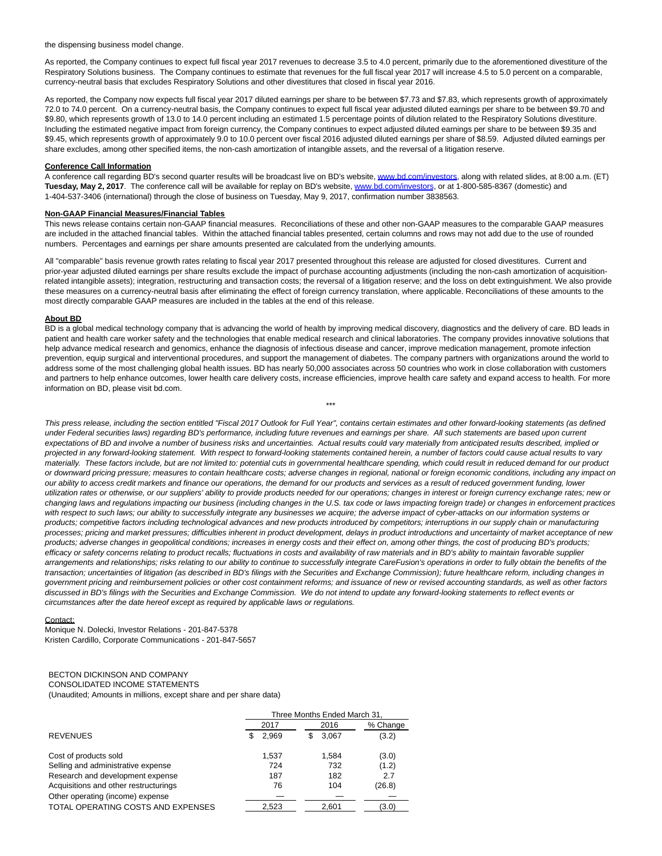the dispensing business model change.

As reported, the Company continues to expect full fiscal year 2017 revenues to decrease 3.5 to 4.0 percent, primarily due to the aforementioned divestiture of the Respiratory Solutions business. The Company continues to estimate that revenues for the full fiscal year 2017 will increase 4.5 to 5.0 percent on a comparable, currency-neutral basis that excludes Respiratory Solutions and other divestitures that closed in fiscal year 2016.

As reported, the Company now expects full fiscal year 2017 diluted earnings per share to be between \$7.73 and \$7.83, which represents growth of approximately 72.0 to 74.0 percent. On a currency-neutral basis, the Company continues to expect full fiscal year adjusted diluted earnings per share to be between \$9.70 and \$9.80, which represents growth of 13.0 to 14.0 percent including an estimated 1.5 percentage points of dilution related to the Respiratory Solutions divestiture. Including the estimated negative impact from foreign currency, the Company continues to expect adjusted diluted earnings per share to be between \$9.35 and \$9.45, which represents growth of approximately 9.0 to 10.0 percent over fiscal 2016 adjusted diluted earnings per share of \$8.59. Adjusted diluted earnings per share excludes, among other specified items, the non-cash amortization of intangible assets, and the reversal of a litigation reserve.

#### **Conference Call Information**

A conference call regarding BD's second quarter results will be broadcast live on BD's website, [www.bd.com/investors,](http://www.bd.com/investors) along with related slides, at 8:00 a.m. (ET) **Tuesday, May 2, 2017**. The conference call will be available for replay on BD's website[, www.bd.com/investors,](http://www.bd.com/investors) or at 1-800-585-8367 (domestic) and 1-404-537-3406 (international) through the close of business on Tuesday, May 9, 2017, confirmation number 3838563.

### **Non-GAAP Financial Measures/Financial Tables**

This news release contains certain non-GAAP financial measures. Reconciliations of these and other non-GAAP measures to the comparable GAAP measures are included in the attached financial tables. Within the attached financial tables presented, certain columns and rows may not add due to the use of rounded numbers. Percentages and earnings per share amounts presented are calculated from the underlying amounts.

All "comparable" basis revenue growth rates relating to fiscal year 2017 presented throughout this release are adjusted for closed divestitures. Current and prior-year adjusted diluted earnings per share results exclude the impact of purchase accounting adjustments (including the non-cash amortization of acquisitionrelated intangible assets); integration, restructuring and transaction costs; the reversal of a litigation reserve; and the loss on debt extinguishment. We also provide these measures on a currency-neutral basis after eliminating the effect of foreign currency translation, where applicable. Reconciliations of these amounts to the most directly comparable GAAP measures are included in the tables at the end of this release.

#### **About BD**

BD is a global medical technology company that is advancing the world of health by improving medical discovery, diagnostics and the delivery of care. BD leads in patient and health care worker safety and the technologies that enable medical research and clinical laboratories. The company provides innovative solutions that help advance medical research and genomics, enhance the diagnosis of infectious disease and cancer, improve medication management, promote infection prevention, equip surgical and interventional procedures, and support the management of diabetes. The company partners with organizations around the world to address some of the most challenging global health issues. BD has nearly 50,000 associates across 50 countries who work in close collaboration with customers and partners to help enhance outcomes, lower health care delivery costs, increase efficiencies, improve health care safety and expand access to health. For more information on BD, please visit bd.com.

\*\*\*

This press release, including the section entitled "Fiscal 2017 Outlook for Full Year", contains certain estimates and other forward-looking statements (as defined under Federal securities laws) regarding BD's performance, including future revenues and earnings per share. All such statements are based upon current expectations of BD and involve a number of business risks and uncertainties. Actual results could vary materially from anticipated results described, implied or projected in any forward-looking statement. With respect to forward-looking statements contained herein, a number of factors could cause actual results to vary materially. These factors include, but are not limited to: potential cuts in governmental healthcare spending, which could result in reduced demand for our product or downward pricing pressure; measures to contain healthcare costs; adverse changes in regional, national or foreign economic conditions, including any impact on our ability to access credit markets and finance our operations, the demand for our products and services as a result of reduced government funding, lower utilization rates or otherwise, or our suppliers' ability to provide products needed for our operations; changes in interest or foreign currency exchange rates; new or changing laws and regulations impacting our business (including changes in the U.S. tax code or laws impacting foreign trade) or changes in enforcement practices with respect to such laws; our ability to successfully integrate any businesses we acquire; the adverse impact of cyber-attacks on our information systems or products; competitive factors including technological advances and new products introduced by competitors; interruptions in our supply chain or manufacturing processes; pricing and market pressures; difficulties inherent in product development, delays in product introductions and uncertainty of market acceptance of new products; adverse changes in geopolitical conditions; increases in energy costs and their effect on, among other things, the cost of producing BD's products; efficacy or safety concerns relating to product recalls; fluctuations in costs and availability of raw materials and in BD's ability to maintain favorable supplier arrangements and relationships; risks relating to our ability to continue to successfully integrate CareFusion's operations in order to fully obtain the benefits of the transaction; uncertainties of litigation (as described in BD's filings with the Securities and Exchange Commission); future healthcare reform, including changes in government pricing and reimbursement policies or other cost containment reforms; and issuance of new or revised accounting standards, as well as other factors discussed in BD's filings with the Securities and Exchange Commission. We do not intend to update any forward-looking statements to reflect events or circumstances after the date hereof except as required by applicable laws or regulations.

#### Contact:

Monique N. Dolecki, Investor Relations - 201-847-5378 Kristen Cardillo, Corporate Communications - 201-847-5657

#### BECTON DICKINSON AND COMPANY CONSOLIDATED INCOME STATEMENTS

(Unaudited; Amounts in millions, except share and per share data)

|                                       | Three Months Ended March 31. |             |          |  |  |  |  |  |  |
|---------------------------------------|------------------------------|-------------|----------|--|--|--|--|--|--|
|                                       | 2017                         | 2016        | % Change |  |  |  |  |  |  |
| <b>REVENUES</b>                       | 2,969<br>S                   | 3,067<br>\$ | (3.2)    |  |  |  |  |  |  |
| Cost of products sold                 | 1.537                        | 1.584       | (3.0)    |  |  |  |  |  |  |
| Selling and administrative expense    | 724                          | 732         | (1.2)    |  |  |  |  |  |  |
| Research and development expense      | 187                          | 182         | 2.7      |  |  |  |  |  |  |
| Acquisitions and other restructurings | 76                           | 104         | (26.8)   |  |  |  |  |  |  |
| Other operating (income) expense      |                              |             |          |  |  |  |  |  |  |
| TOTAL OPERATING COSTS AND EXPENSES    | 2.523                        | 2.601       | (3.0)    |  |  |  |  |  |  |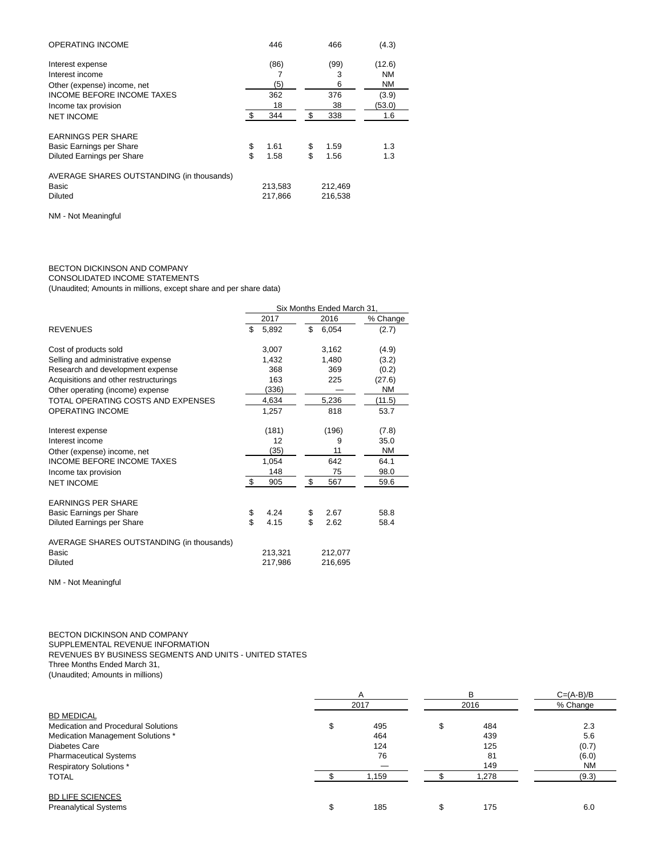| <b>OPERATING INCOME</b>                   | 446        | 466        | (4.3)     |
|-------------------------------------------|------------|------------|-----------|
| Interest expense                          | (86)       | (99)       | (12.6)    |
| Interest income                           |            | 3          | NM        |
| Other (expense) income, net               | (5)        | 6          | <b>NM</b> |
| <b>INCOME BEFORE INCOME TAXES</b>         | 362        | 376        | (3.9)     |
| Income tax provision                      | 18         | 38         | (53.0)    |
| <b>NET INCOME</b>                         | 344        | \$<br>338  | 1.6       |
| <b>EARNINGS PER SHARE</b>                 |            |            |           |
| Basic Earnings per Share                  | \$<br>1.61 | \$<br>1.59 | 1.3       |
| Diluted Earnings per Share                | \$<br>1.58 | \$<br>1.56 | 1.3       |
| AVERAGE SHARES OUTSTANDING (in thousands) |            |            |           |
| Basic                                     | 213,583    | 212,469    |           |
| <b>Diluted</b>                            | 217,866    | 216,538    |           |

NM - Not Meaningful

# BECTON DICKINSON AND COMPANY

CONSOLIDATED INCOME STATEMENTS

(Unaudited; Amounts in millions, except share and per share data)

|                                           | Six Months Ended March 31, |         |    |         |           |  |  |  |  |
|-------------------------------------------|----------------------------|---------|----|---------|-----------|--|--|--|--|
|                                           |                            | 2017    |    | 2016    | % Change  |  |  |  |  |
| <b>REVENUES</b>                           | \$                         | 5,892   | \$ | 6,054   | (2.7)     |  |  |  |  |
| Cost of products sold                     |                            | 3,007   |    | 3.162   | (4.9)     |  |  |  |  |
| Selling and administrative expense        |                            | 1,432   |    | 1,480   | (3.2)     |  |  |  |  |
| Research and development expense          |                            | 368     |    | 369     | (0.2)     |  |  |  |  |
| Acquisitions and other restructurings     |                            | 163     |    | 225     | (27.6)    |  |  |  |  |
| Other operating (income) expense          |                            | (336)   |    |         | <b>NM</b> |  |  |  |  |
| TOTAL OPERATING COSTS AND EXPENSES        |                            | 4,634   |    | 5,236   | (11.5)    |  |  |  |  |
| <b>OPERATING INCOME</b>                   |                            | 1,257   |    | 818     | 53.7      |  |  |  |  |
| Interest expense                          |                            | (181)   |    | (196)   | (7.8)     |  |  |  |  |
| Interest income                           |                            | 12      |    | 9       | 35.0      |  |  |  |  |
| Other (expense) income, net               |                            | (35)    |    | 11      | <b>NM</b> |  |  |  |  |
| <b>INCOME BEFORE INCOME TAXES</b>         |                            | 1,054   |    | 642     | 64.1      |  |  |  |  |
| Income tax provision                      |                            | 148     |    | 75      | 98.0      |  |  |  |  |
| <b>NET INCOME</b>                         | \$                         | 905     | \$ | 567     | 59.6      |  |  |  |  |
| <b>EARNINGS PER SHARE</b>                 |                            |         |    |         |           |  |  |  |  |
| Basic Earnings per Share                  | \$                         | 4.24    | \$ | 2.67    | 58.8      |  |  |  |  |
| Diluted Earnings per Share                | \$                         | 4.15    | \$ | 2.62    | 58.4      |  |  |  |  |
| AVERAGE SHARES OUTSTANDING (in thousands) |                            |         |    |         |           |  |  |  |  |
| Basic                                     |                            | 213,321 |    | 212,077 |           |  |  |  |  |
| <b>Diluted</b>                            |                            | 217,986 |    | 216,695 |           |  |  |  |  |

NM - Not Meaningful

BECTON DICKINSON AND COMPANY SUPPLEMENTAL REVENUE INFORMATION REVENUES BY BUSINESS SEGMENTS AND UNITS - UNITED STATES Three Months Ended March 31, (Unaudited; Amounts in millions)

|                                            |       | в     | $C=(A-B)/B$ |  |  |
|--------------------------------------------|-------|-------|-------------|--|--|
|                                            | 2017  | 2016  | % Change    |  |  |
| <b>BD MEDICAL</b>                          |       |       |             |  |  |
| <b>Medication and Procedural Solutions</b> | 495   | 484   | 2.3         |  |  |
| Medication Management Solutions *          | 464   | 439   | 5.6         |  |  |
| Diabetes Care                              | 124   | 125   | (0.7)       |  |  |
| <b>Pharmaceutical Systems</b>              | 76    | 81    | (6.0)       |  |  |
| <b>Respiratory Solutions *</b>             |       | 149   | <b>NM</b>   |  |  |
| <b>TOTAL</b>                               | 1.159 | 1,278 | (9.3)       |  |  |
| <b>BD LIFE SCIENCES</b>                    |       |       |             |  |  |
| <b>Preanalytical Systems</b>               | 185   | 175   | 6.0         |  |  |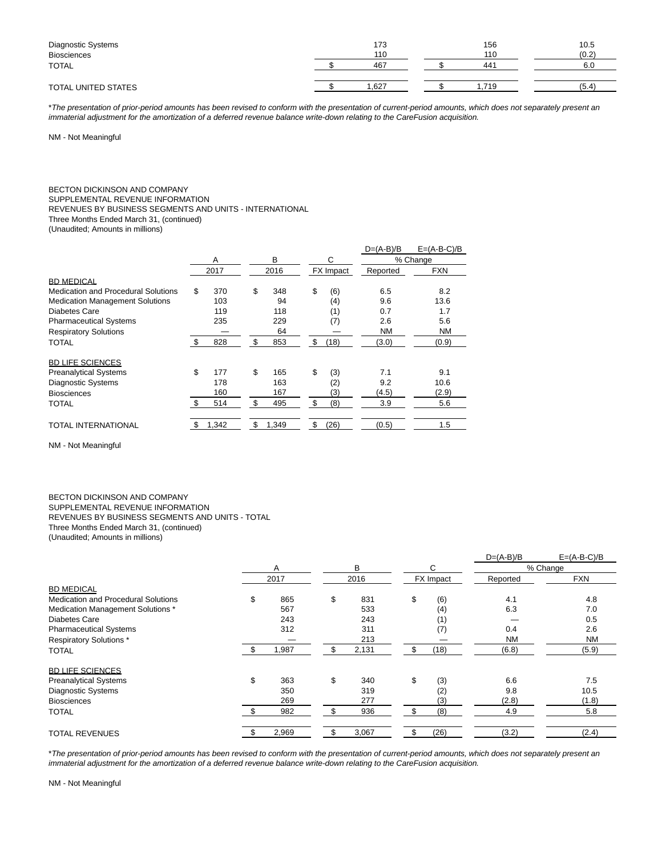| Diagnostic Systems<br><b>Biosciences</b> | 173<br>110 | 156<br>110 | 10.5<br>(0.2) |
|------------------------------------------|------------|------------|---------------|
| TOTAL                                    | 467        | 441        | 6.0           |
| TOTAL UNITED STATES                      | .627       | .719       | (5.4)         |

\*The presentation of prior-period amounts has been revised to conform with the presentation of current-period amounts, which does not separately present an immaterial adjustment for the amortization of a deferred revenue balance write-down relating to the CareFusion acquisition.

NM - Not Meaningful

# BECTON DICKINSON AND COMPANY

SUPPLEMENTAL REVENUE INFORMATION

REVENUES BY BUSINESS SEGMENTS AND UNITS - INTERNATIONAL

Three Months Ended March 31, (continued)

(Unaudited; Amounts in millions)

|                                        |     |       |      | $D=(A-B)/B$ | $E=(A-B-C)/B$ |           |            |  |
|----------------------------------------|-----|-------|------|-------------|---------------|-----------|------------|--|
|                                        |     | A     |      | в           | С             | % Change  |            |  |
|                                        |     | 2017  | 2016 |             | FX Impact     | Reported  | <b>FXN</b> |  |
| <b>BD MEDICAL</b>                      |     |       |      |             |               |           |            |  |
| Medication and Procedural Solutions    | \$  | 370   | \$   | 348         | \$<br>(6)     | 6.5       | 8.2        |  |
| <b>Medication Management Solutions</b> |     | 103   |      | 94          | (4)           | 9.6       | 13.6       |  |
| Diabetes Care                          |     | 119   |      | 118         | (1)           | 0.7       | 1.7        |  |
| <b>Pharmaceutical Systems</b>          |     | 235   |      | 229         | (7)           | 2.6       | 5.6        |  |
| <b>Respiratory Solutions</b>           |     |       |      | 64          |               | <b>NM</b> | <b>NM</b>  |  |
| TOTAL                                  | \$  | 828   | \$   | 853         | \$<br>(18)    | (3.0)     | (0.9)      |  |
| <b>BD LIFE SCIENCES</b>                |     |       |      |             |               |           |            |  |
| <b>Preanalytical Systems</b>           | \$  | 177   | \$   | 165         | \$<br>(3)     | 7.1       | 9.1        |  |
| <b>Diagnostic Systems</b>              |     | 178   |      | 163         | (2)           | 9.2       | 10.6       |  |
| <b>Biosciences</b>                     |     | 160   |      | 167         | (3)           | (4.5)     | (2.9)      |  |
| TOTAL                                  | \$  | 514   | \$   | 495         | \$<br>(8)     | 3.9       | 5.6        |  |
| TOTAL INTERNATIONAL                    | \$. | 1,342 | \$   | 1,349       | \$<br>(26)    | (0.5)     | 1.5        |  |

NM - Not Meaningful

#### BECTON DICKINSON AND COMPANY SUPPLEMENTAL REVENUE INFORMATION REVENUES BY BUSINESS SEGMENTS AND UNITS - TOTAL Three Months Ended March 31, (continued) (Unaudited; Amounts in millions)

|                                            |           |    |       |    |           | $D=(A-B)/B$ | $E=(A-B-C)/B$ |
|--------------------------------------------|-----------|----|-------|----|-----------|-------------|---------------|
|                                            | Α         |    | B     |    | С         |             | % Change      |
|                                            | 2017      |    | 2016  |    | FX Impact | Reported    | <b>FXN</b>    |
| <b>BD MEDICAL</b>                          |           |    |       |    |           |             |               |
| <b>Medication and Procedural Solutions</b> | \$<br>865 | \$ | 831   | \$ | (6)       | 4.1         | 4.8           |
| Medication Management Solutions *          | 567       |    | 533   |    | (4)       | 6.3         | 7.0           |
| Diabetes Care                              | 243       |    | 243   |    | (1)       |             | 0.5           |
| <b>Pharmaceutical Systems</b>              | 312       |    | 311   |    | (7)       | 0.4         | 2.6           |
| <b>Respiratory Solutions*</b>              |           |    | 213   |    |           | <b>NM</b>   | <b>NM</b>     |
| <b>TOTAL</b>                               | 1,987     | \$ | 2,131 |    | (18)      | (6.8)       | (5.9)         |
| <b>BD LIFE SCIENCES</b>                    |           |    |       |    |           |             |               |
| <b>Preanalytical Systems</b>               | \$<br>363 | \$ | 340   | \$ | (3)       | 6.6         | 7.5           |
| <b>Diagnostic Systems</b>                  | 350       |    | 319   |    | (2)       | 9.8         | 10.5          |
| <b>Biosciences</b>                         | 269       |    | 277   |    | (3)       | (2.8)       | (1.8)         |
| <b>TOTAL</b>                               | 982       | \$ | 936   |    | (8)       | 4.9         | 5.8           |
| <b>TOTAL REVENUES</b>                      | 2,969     |    | 3,067 |    | (26)      | (3.2)       | (2.4)         |

\*The presentation of prior-period amounts has been revised to conform with the presentation of current-period amounts, which does not separately present an immaterial adjustment for the amortization of a deferred revenue balance write-down relating to the CareFusion acquisition.

NM - Not Meaningful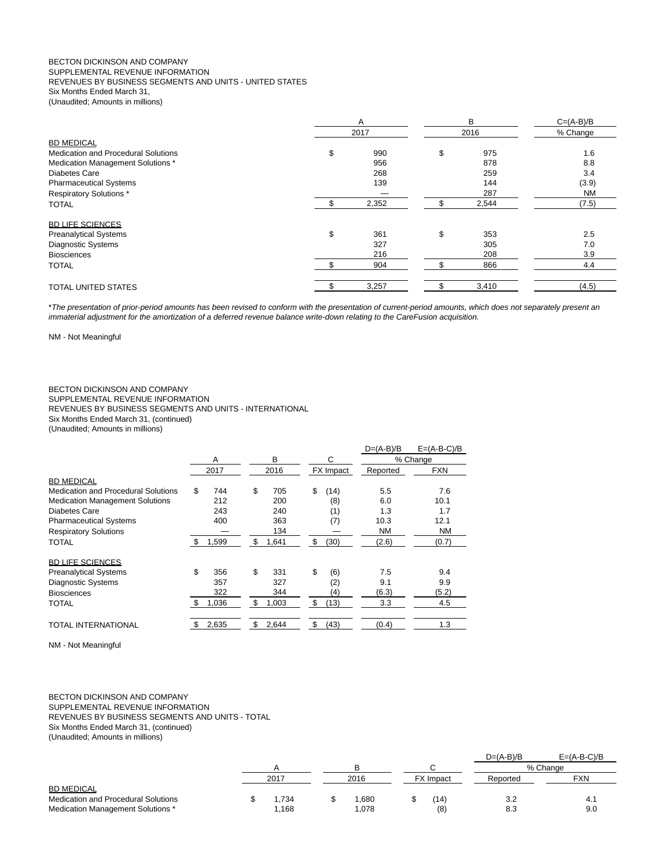#### BECTON DICKINSON AND COMPANY SUPPLEMENTAL REVENUE INFORMATION REVENUES BY BUSINESS SEGMENTS AND UNITS - UNITED STATES Six Months Ended March 31, (Unaudited; Amounts in millions)

|                                     | A  |       | B         | $C=(A-B)/B$ |
|-------------------------------------|----|-------|-----------|-------------|
|                                     |    | 2017  | 2016      | % Change    |
| <b>BD MEDICAL</b>                   |    |       |           |             |
| Medication and Procedural Solutions | \$ | 990   | \$<br>975 | 1.6         |
| Medication Management Solutions *   |    | 956   | 878       | 8.8         |
| <b>Diabetes Care</b>                |    | 268   | 259       | 3.4         |
| <b>Pharmaceutical Systems</b>       |    | 139   | 144       | (3.9)       |
| <b>Respiratory Solutions*</b>       |    |       | 287       | <b>NM</b>   |
| <b>TOTAL</b>                        |    | 2,352 | 2,544     | (7.5)       |
| <b>BD LIFE SCIENCES</b>             |    |       |           |             |
| <b>Preanalytical Systems</b>        | \$ | 361   | \$<br>353 | 2.5         |
| Diagnostic Systems                  |    | 327   | 305       | 7.0         |
| <b>Biosciences</b>                  |    | 216   | 208       | 3.9         |
| <b>TOTAL</b>                        |    | 904   | 866       | 4.4         |
| <b>TOTAL UNITED STATES</b>          |    | 3,257 | 3,410     | (4.5)       |

\*The presentation of prior-period amounts has been revised to conform with the presentation of current-period amounts, which does not separately present an immaterial adjustment for the amortization of a deferred revenue balance write-down relating to the CareFusion acquisition.

NM - Not Meaningful

#### BECTON DICKINSON AND COMPANY SUPPLEMENTAL REVENUE INFORMATION REVENUES BY BUSINESS SEGMENTS AND UNITS - INTERNATIONAL Six Months Ended March 31, (continued) (Unaudited; Amounts in millions)

|                                        |     |       |    |       |    |           | $D=(A-B)/B$ | $E=(A-B-C)/B$ |
|----------------------------------------|-----|-------|----|-------|----|-----------|-------------|---------------|
|                                        |     | A     |    | в     |    | C         |             | % Change      |
|                                        |     | 2017  |    | 2016  |    | FX Impact | Reported    | <b>FXN</b>    |
| <b>BD MEDICAL</b>                      |     |       |    |       |    |           |             |               |
| Medication and Procedural Solutions    | \$  | 744   | \$ | 705   | \$ | (14)      | 5.5         | 7.6           |
| <b>Medication Management Solutions</b> |     | 212   |    | 200   |    | (8)       | 6.0         | 10.1          |
| Diabetes Care                          |     | 243   |    | 240   |    | (1)       | 1.3         | 1.7           |
| <b>Pharmaceutical Systems</b>          |     | 400   |    | 363   |    | (7)       | 10.3        | 12.1          |
| <b>Respiratory Solutions</b>           |     |       |    | 134   |    |           | <b>NM</b>   | <b>NM</b>     |
| TOTAL                                  | \$  | 1,599 | \$ | 1,641 | \$ | (30)      | (2.6)       | (0.7)         |
| <b>BD LIFE SCIENCES</b>                |     |       |    |       |    |           |             |               |
| <b>Preanalytical Systems</b>           | \$  | 356   | \$ | 331   | \$ | (6)       | 7.5         | 9.4           |
| <b>Diagnostic Systems</b>              |     | 357   |    | 327   |    | (2)       | 9.1         | 9.9           |
| <b>Biosciences</b>                     |     | 322   |    | 344   |    | (4)       | (6.3)       | (5.2)         |
| TOTAL                                  | \$. | 1.036 | \$ | 1,003 | \$ | (13)      | 3.3         | 4.5           |
| TOTAL INTERNATIONAL                    | \$  | 2,635 | \$ | 2,644 | \$ | (43)      | (0.4)       | 1.3           |

NM - Not Meaningful

#### BECTON DICKINSON AND COMPANY SUPPLEMENTAL REVENUE INFORMATION REVENUES BY BUSINESS SEGMENTS AND UNITS - TOTAL Six Months Ended March 31, (continued) (Unaudited; Amounts in millions)

|                                            |  |      |  |       |  |                  | $D=(A-B)/B$ | $E=(A-B-C)/B$ |
|--------------------------------------------|--|------|--|-------|--|------------------|-------------|---------------|
|                                            |  | 2017 |  | 2016  |  |                  |             | % Change      |
|                                            |  |      |  |       |  | <b>FX</b> Impact | Reported    | <b>FXN</b>    |
| <b>BD MEDICAL</b>                          |  |      |  |       |  |                  |             |               |
| <b>Medication and Procedural Solutions</b> |  | .734 |  | .680  |  | ้14              | 3.2         | 4.1           |
| Medication Management Solutions *          |  | .168 |  | 1,078 |  | (8)              | 8.3         | 9.0           |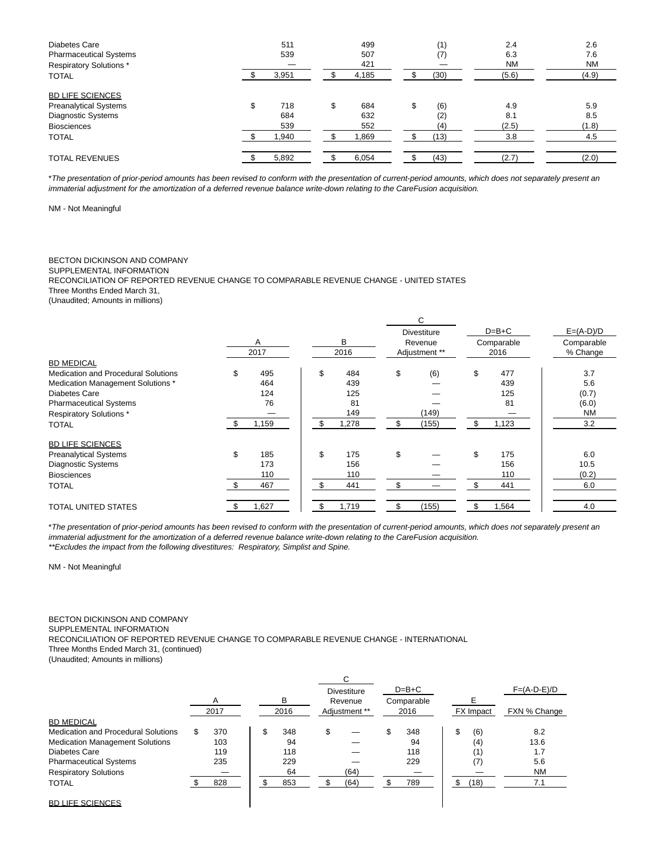| Diabetes Care<br><b>Pharmaceutical Systems</b><br><b>Respiratory Solutions*</b><br><b>TOTAL</b>                     | 511<br>539<br>3,951             | 499<br>507<br>421<br>4,185       | (1)<br>(7)<br>(30)              | 2.4<br>6.3<br><b>NM</b><br>(5.6) | 2.6<br>7.6<br><b>NM</b><br>(4.9) |
|---------------------------------------------------------------------------------------------------------------------|---------------------------------|----------------------------------|---------------------------------|----------------------------------|----------------------------------|
| <b>BD LIFE SCIENCES</b><br><b>Preanalytical Systems</b><br>Diagnostic Systems<br><b>Biosciences</b><br><b>TOTAL</b> | \$<br>718<br>684<br>539<br>.940 | \$<br>684<br>632<br>552<br>1,869 | \$<br>(6)<br>(2)<br>(4)<br>(13) | 4.9<br>8.1<br>(2.5)<br>3.8       | 5.9<br>8.5<br>(1.8)<br>4.5       |
| <b>TOTAL REVENUES</b>                                                                                               | 5,892                           | 6,054                            | (43)                            | (2.7)                            | (2.0)                            |

\*The presentation of prior-period amounts has been revised to conform with the presentation of current-period amounts, which does not separately present an immaterial adjustment for the amortization of a deferred revenue balance write-down relating to the CareFusion acquisition.

NM - Not Meaningful

# BECTON DICKINSON AND COMPANY

SUPPLEMENTAL INFORMATION

RECONCILIATION OF REPORTED REVENUE CHANGE TO COMPARABLE REVENUE CHANGE - UNITED STATES

Three Months Ended March 31,

(Unaudited; Amounts in millions)

|                                            | Α<br>2017 |       |    | B<br>2016 |     | C<br><b>Divestiture</b><br>Revenue<br>Adjustment ** | $D=B+C$<br>Comparable<br>2016 |       | $E=(A-D)/D$<br>Comparable<br>% Change |
|--------------------------------------------|-----------|-------|----|-----------|-----|-----------------------------------------------------|-------------------------------|-------|---------------------------------------|
| <b>BD MEDICAL</b>                          |           |       |    |           |     |                                                     |                               |       |                                       |
| <b>Medication and Procedural Solutions</b> | \$        | 495   | \$ | 484       | \$  | (6)                                                 | \$                            | 477   | 3.7                                   |
| Medication Management Solutions *          |           | 464   |    | 439       |     |                                                     |                               | 439   | 5.6                                   |
| <b>Diabetes Care</b>                       |           | 124   |    | 125       |     |                                                     |                               | 125   | (0.7)                                 |
| <b>Pharmaceutical Systems</b>              |           | 76    |    | 81        |     |                                                     |                               | 81    | (6.0)                                 |
| <b>Respiratory Solutions*</b>              |           |       |    | 149       |     | (149)                                               |                               |       | <b>NM</b>                             |
| <b>TOTAL</b>                               |           | 1,159 | -S | 1,278     | \$  | (155)                                               | \$                            | 1,123 | 3.2                                   |
| <b>BD LIFE SCIENCES</b>                    |           |       |    |           |     |                                                     |                               |       |                                       |
| <b>Preanalytical Systems</b>               | \$        | 185   | \$ | 175       | \$  |                                                     | \$                            | 175   | 6.0                                   |
| <b>Diagnostic Systems</b>                  |           | 173   |    | 156       |     |                                                     |                               | 156   | 10.5                                  |
| <b>Biosciences</b>                         |           | 110   |    | 110       |     |                                                     |                               | 110   | (0.2)                                 |
| <b>TOTAL</b>                               | - \$      | 467   | \$ | 441       | \$. |                                                     | \$.                           | 441   | 6.0                                   |
| <b>TOTAL UNITED STATES</b>                 | - \$      | 1,627 |    | 1,719     |     | (155)                                               | \$.                           | 1,564 | 4.0                                   |

\*The presentation of prior-period amounts has been revised to conform with the presentation of current-period amounts, which does not separately present an immaterial adjustment for the amortization of a deferred revenue balance write-down relating to the CareFusion acquisition. \*\*Excludes the impact from the following divestitures: Respiratory, Simplist and Spine.

NM - Not Meaningful

# BECTON DICKINSON AND COMPANY

SUPPLEMENTAL INFORMATION

RECONCILIATION OF REPORTED REVENUE CHANGE TO COMPARABLE REVENUE CHANGE - INTERNATIONAL

Three Months Ended March 31, (continued)

(Unaudited; Amounts in millions)

|                                        |      |           | <b>Divestiture</b> | $D=B+C$    |     |           | $F=(A-D-E)/D$ |
|----------------------------------------|------|-----------|--------------------|------------|-----|-----------|---------------|
|                                        | A    | в         | Revenue            | Comparable |     | F         |               |
|                                        | 2017 | 2016      | Adjustment **      | 2016       |     | FX Impact | FXN % Change  |
| <b>BD MEDICAL</b>                      |      |           |                    |            |     |           |               |
| Medication and Procedural Solutions    | 370  | \$<br>348 | \$                 | 348        | \$  | (6)       | 8.2           |
| <b>Medication Management Solutions</b> | 103  | 94        |                    | 94         |     | (4)       | 13.6          |
| Diabetes Care                          | 119  | 118       |                    | 118        |     | (1)       | 1.7           |
| <b>Pharmaceutical Systems</b>          | 235  | 229       |                    | 229        |     | (7)       | 5.6           |
| <b>Respiratory Solutions</b>           |      | 64        | (64)               |            |     |           | <b>NM</b>     |
| <b>TOTAL</b>                           | 828  | 853       | (64)               | 789        | \$. | (18)      | 7.1           |
| <b>BD LIFE SCIENCES</b>                |      |           |                    |            |     |           |               |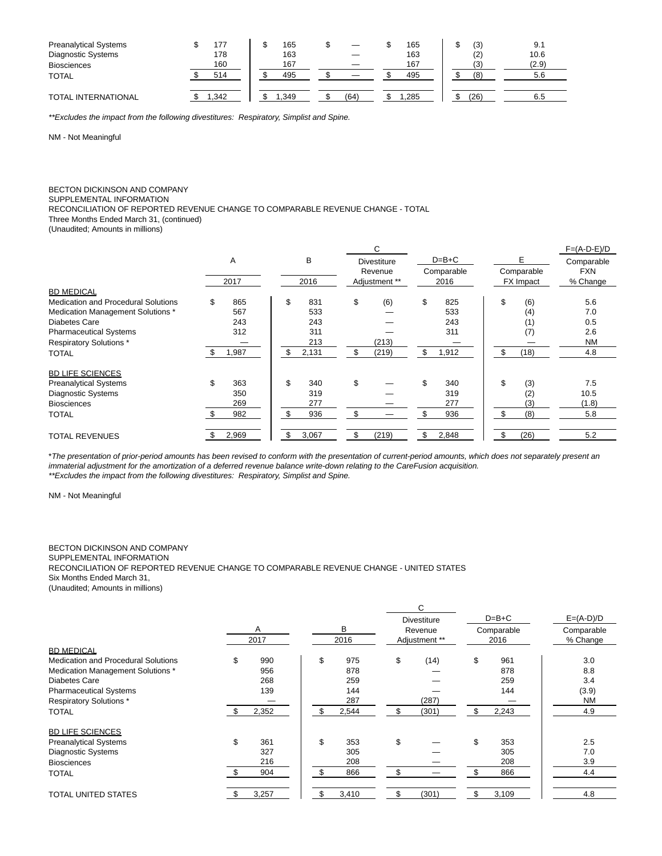| <b>Preanalytical Systems</b> | 77   | 165  |      | 165  | (3)  | 9.1   |  |
|------------------------------|------|------|------|------|------|-------|--|
| <b>Diagnostic Systems</b>    | 178  | 163  |      | 163  | (2)  | 10.6  |  |
| <b>Biosciences</b>           | 160  | 167  |      | 167  | (3)  | (2.9) |  |
| <b>TOTAL</b>                 | 514  | 495  |      | 495  | (8)  | 5.6   |  |
| <b>TOTAL INTERNATIONAL</b>   | .342 | .349 | (64) | .285 | (26) | 6.5   |  |

\*\*Excludes the impact from the following divestitures: Respiratory, Simplist and Spine.

NM - Not Meaningful

# BECTON DICKINSON AND COMPANY

SUPPLEMENTAL INFORMATION

RECONCILIATION OF REPORTED REVENUE CHANGE TO COMPARABLE REVENUE CHANGE - TOTAL

Three Months Ended March 31, (continued)

(Unaudited; Amounts in millions)

|                                            |           |    |       |    | C                  |         |            |     |                  | $F=(A-D-E)/D$ |
|--------------------------------------------|-----------|----|-------|----|--------------------|---------|------------|-----|------------------|---------------|
|                                            | Α         |    | B     |    | <b>Divestiture</b> | $D=B+C$ |            |     | Е                | Comparable    |
|                                            |           |    |       |    | Revenue            |         | Comparable |     | Comparable       | <b>FXN</b>    |
|                                            | 2017      |    | 2016  |    | Adjustment **      |         | 2016       |     | <b>FX Impact</b> | % Change      |
| <b>BD MEDICAL</b>                          |           |    |       |    |                    |         |            |     |                  |               |
| <b>Medication and Procedural Solutions</b> | \$<br>865 | \$ | 831   | \$ | (6)                | \$      | 825        | \$  | (6)              | 5.6           |
| Medication Management Solutions *          | 567       |    | 533   |    |                    |         | 533        |     | (4)              | 7.0           |
| Diabetes Care                              | 243       |    | 243   |    |                    |         | 243        |     | (1)              | 0.5           |
| <b>Pharmaceutical Systems</b>              | 312       |    | 311   |    |                    |         | 311        |     | (7)              | 2.6           |
| <b>Respiratory Solutions*</b>              |           |    | 213   |    | (213)              |         |            |     |                  | <b>NM</b>     |
| <b>TOTAL</b>                               | 1,987     | \$ | 2,131 | \$ | (219)              | \$      | 1,912      | \$. | (18)             | 4.8           |
| <b>BD LIFE SCIENCES</b>                    |           |    |       |    |                    |         |            |     |                  |               |
| <b>Preanalytical Systems</b>               | \$<br>363 | \$ | 340   | \$ |                    | \$      | 340        | \$  | (3)              | 7.5           |
| <b>Diagnostic Systems</b>                  | 350       |    | 319   |    |                    |         | 319        |     | (2)              | 10.5          |
| <b>Biosciences</b>                         | 269       |    | 277   |    |                    |         | 277        |     | (3)              | (1.8)         |
| <b>TOTAL</b>                               | 982       |    | 936   | \$ |                    | \$      | 936        | \$  | (8)              | 5.8           |
| <b>TOTAL REVENUES</b>                      | 2,969     | \$ | 3,067 | \$ | (219)              | \$      | 2,848      |     | (26)             | 5.2           |

\*The presentation of prior-period amounts has been revised to conform with the presentation of current-period amounts, which does not separately present an immaterial adjustment for the amortization of a deferred revenue balance write-down relating to the CareFusion acquisition. \*\*Excludes the impact from the following divestitures: Respiratory, Simplist and Spine.

NM - Not Meaningful

# BECTON DICKINSON AND COMPANY

SUPPLEMENTAL INFORMATION

RECONCILIATION OF REPORTED REVENUE CHANGE TO COMPARABLE REVENUE CHANGE - UNITED STATES

Six Months Ended March 31,

(Unaudited; Amounts in millions)

|                                            | A<br>2017 |     | В<br>2016 | C.<br><b>Divestiture</b><br>Revenue<br>Adjustment ** | $D=B+C$<br>Comparable<br>2016 | $E=(A-D)/D$<br>Comparable<br>% Change |
|--------------------------------------------|-----------|-----|-----------|------------------------------------------------------|-------------------------------|---------------------------------------|
| <b>BD MEDICAL</b>                          |           |     |           |                                                      |                               |                                       |
| <b>Medication and Procedural Solutions</b> | \$<br>990 | \$  | 975       | \$<br>(14)                                           | \$<br>961                     | 3.0                                   |
| Medication Management Solutions *          | 956       |     | 878       |                                                      | 878                           | 8.8                                   |
| <b>Diabetes Care</b>                       | 268       |     | 259       |                                                      | 259                           | 3.4                                   |
| <b>Pharmaceutical Systems</b>              | 139       |     | 144       |                                                      | 144                           | (3.9)                                 |
| <b>Respiratory Solutions*</b>              |           |     | 287       | (287)                                                |                               | <b>NM</b>                             |
| <b>TOTAL</b>                               | 2,352     |     | 2,544     | (301)                                                | \$<br>2,243                   | 4.9                                   |
| <b>BD LIFE SCIENCES</b>                    |           |     |           |                                                      |                               |                                       |
| <b>Preanalytical Systems</b>               | \$<br>361 | \$  | 353       | \$                                                   | \$<br>353                     | 2.5                                   |
| <b>Diagnostic Systems</b>                  | 327       |     | 305       |                                                      | 305                           | 7.0                                   |
| <b>Biosciences</b>                         | 216       |     | 208       |                                                      | 208                           | 3.9                                   |
| <b>TOTAL</b>                               | 904       | \$. | 866       | \$                                                   | 866                           | 4.4                                   |
| <b>TOTAL UNITED STATES</b>                 | 3,257     |     | 3,410     | \$<br>(301)                                          | 3,109                         | 4.8                                   |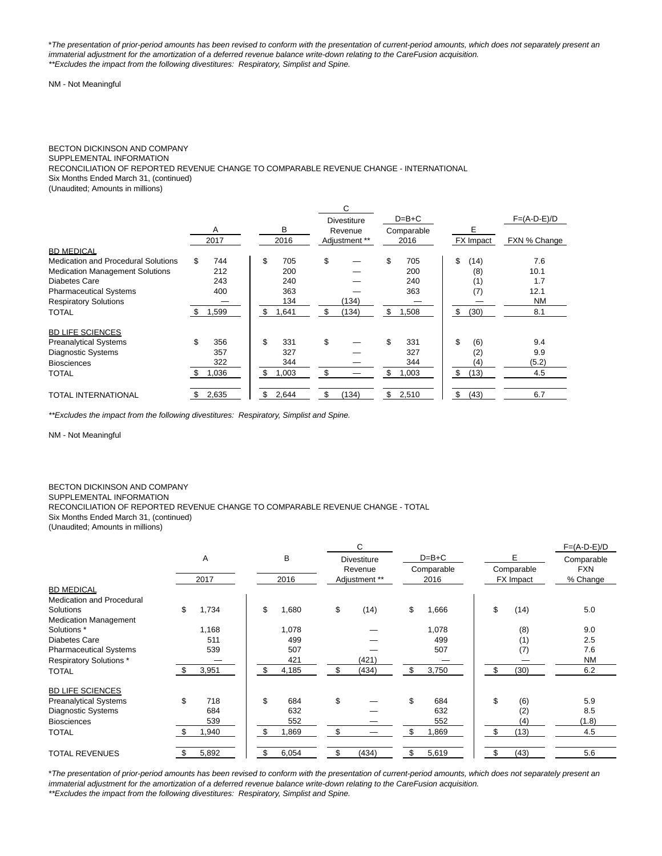\*The presentation of prior-period amounts has been revised to conform with the presentation of current-period amounts, which does not separately present an immaterial adjustment for the amortization of a deferred revenue balance write-down relating to the CareFusion acquisition. \*\*Excludes the impact from the following divestitures: Respiratory, Simplist and Spine.

NM - Not Meaningful

### BECTON DICKINSON AND COMPANY

#### SUPPLEMENTAL INFORMATION

RECONCILIATION OF REPORTED REVENUE CHANGE TO COMPARABLE REVENUE CHANGE - INTERNATIONAL

Six Months Ended March 31, (continued)

(Unaudited; Amounts in millions)

|                                        |     |       |             |     | С                  |             |            |               |
|----------------------------------------|-----|-------|-------------|-----|--------------------|-------------|------------|---------------|
|                                        |     |       |             |     | <b>Divestiture</b> | $D=B+C$     |            | $F=(A-D-E)/D$ |
|                                        |     | A     | в           |     | Revenue            | Comparable  | Е          |               |
|                                        |     | 2017  | 2016        |     | Adjustment **      | 2016        | FX Impact  | FXN % Change  |
| <b>BD MEDICAL</b>                      |     |       |             |     |                    |             |            |               |
| Medication and Procedural Solutions    | \$  | 744   | \$<br>705   | \$  |                    | \$<br>705   | \$<br>(14) | 7.6           |
| <b>Medication Management Solutions</b> |     | 212   | 200         |     |                    | 200         | (8)        | 10.1          |
| Diabetes Care                          |     | 243   | 240         |     |                    | 240         | (1)        | 1.7           |
| <b>Pharmaceutical Systems</b>          |     | 400   | 363         |     |                    | 363         | (7)        | 12.1          |
| <b>Respiratory Solutions</b>           |     |       | 134         |     | (134)              |             |            | <b>NM</b>     |
| <b>TOTAL</b>                           | \$  | 1,599 | \$<br>.641  | \$  | (134)              | \$<br>1,508 | \$<br>(30) | 8.1           |
| <b>BD LIFE SCIENCES</b>                |     |       |             |     |                    |             |            |               |
| <b>Preanalytical Systems</b>           | \$  | 356   | \$<br>331   | \$  |                    | \$<br>331   | \$<br>(6)  | 9.4           |
| <b>Diagnostic Systems</b>              |     | 357   | 327         |     |                    | 327         | (2)        | 9.9           |
| <b>Biosciences</b>                     |     | 322   | 344         |     |                    | 344         | (4)        | (5.2)         |
| TOTAL                                  | \$. | 1,036 | \$<br>1,003 | \$  |                    | \$<br>1,003 | \$<br>(13) | 4.5           |
| <b>TOTAL INTERNATIONAL</b>             | S.  | 2,635 | \$<br>2,644 | \$. | (134)              | \$<br>2,510 | \$<br>(43) | 6.7           |

\*\*Excludes the impact from the following divestitures: Respiratory, Simplist and Spine.

NM - Not Meaningful

### BECTON DICKINSON AND COMPANY SUPPLEMENTAL INFORMATION RECONCILIATION OF REPORTED REVENUE CHANGE TO COMPARABLE REVENUE CHANGE - TOTAL Six Months Ended March 31, (continued) (Unaudited; Amounts in millions)

|                               |             |             | C                  |             |            | $F=(A-D-E)/D$            |  |
|-------------------------------|-------------|-------------|--------------------|-------------|------------|--------------------------|--|
|                               | Α           | В           | <b>Divestiture</b> | $D=B+C$     | E          | Comparable<br><b>FXN</b> |  |
|                               |             |             | Revenue            | Comparable  | Comparable |                          |  |
|                               | 2017        | 2016        | Adjustment **      | 2016        | FX Impact  | % Change                 |  |
| <b>BD MEDICAL</b>             |             |             |                    |             |            |                          |  |
| Medication and Procedural     |             |             |                    |             |            |                          |  |
| Solutions                     | 1,734<br>\$ | \$<br>1,680 | \$<br>(14)         | \$<br>1,666 | \$<br>(14) | 5.0                      |  |
| <b>Medication Management</b>  |             |             |                    |             |            |                          |  |
| Solutions *                   | 1,168       | 1,078       |                    | 1,078       | (8)        | 9.0                      |  |
| Diabetes Care                 | 511         | 499         |                    | 499         | (1)        | 2.5                      |  |
| <b>Pharmaceutical Systems</b> | 539         | 507         |                    | 507         | (7)        | 7.6                      |  |
| <b>Respiratory Solutions*</b> |             | 421         | (421)              |             |            | <b>NM</b>                |  |
| <b>TOTAL</b>                  | 3,951       | 4,185       | (434)<br>\$        | 3,750       | (30)       | 6.2                      |  |
| <b>BD LIFE SCIENCES</b>       |             |             |                    |             |            |                          |  |
| <b>Preanalytical Systems</b>  | \$<br>718   | \$<br>684   | \$                 | \$<br>684   | \$<br>(6)  | 5.9                      |  |
| <b>Diagnostic Systems</b>     | 684         | 632         |                    | 632         | (2)        | 8.5                      |  |
| <b>Biosciences</b>            | 539         | 552         |                    | 552         | (4)        | (1.8)                    |  |
| <b>TOTAL</b>                  | .940        | ,869<br>\$. | \$                 | 1,869       | \$<br>(13) | 4.5                      |  |
| <b>TOTAL REVENUES</b>         | 5,892       | 6,054       | (434)<br>\$        | 5,619       | (43)       | 5.6                      |  |

\*The presentation of prior-period amounts has been revised to conform with the presentation of current-period amounts, which does not separately present an immaterial adjustment for the amortization of a deferred revenue balance write-down relating to the CareFusion acquisition.

\*\*Excludes the impact from the following divestitures: Respiratory, Simplist and Spine.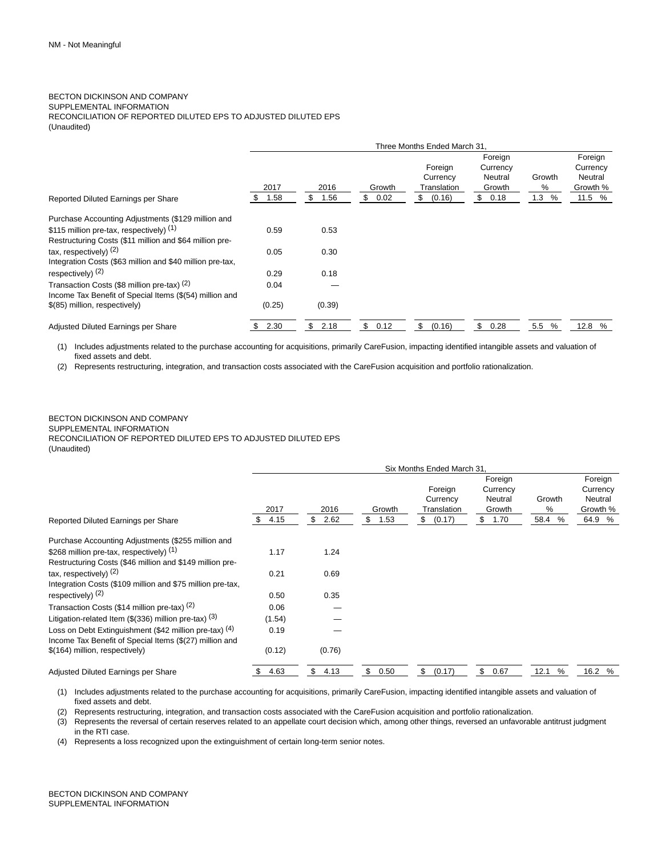### BECTON DICKINSON AND COMPANY SUPPLEMENTAL INFORMATION RECONCILIATION OF REPORTED DILUTED EPS TO ADJUSTED DILUTED EPS (Unaudited)

|                                                           |              |                    |                      | Three Months Ended March 31                        |                                                        |                     |                                                      |
|-----------------------------------------------------------|--------------|--------------------|----------------------|----------------------------------------------------|--------------------------------------------------------|---------------------|------------------------------------------------------|
|                                                           | 2017<br>1.58 | 2016<br>\$<br>1.56 | Growth<br>\$<br>0.02 | Foreign<br>Currency<br>Translation<br>(0.16)<br>\$ | Foreign<br>Currency<br>Neutral<br>Growth<br>\$<br>0.18 | Growth<br>℅<br>1.3% | Foreign<br>Currency<br>Neutral<br>Growth %<br>11.5 % |
| Reported Diluted Earnings per Share                       | S.           |                    |                      |                                                    |                                                        |                     |                                                      |
| Purchase Accounting Adjustments (\$129 million and        |              |                    |                      |                                                    |                                                        |                     |                                                      |
| \$115 million pre-tax, respectively) (1)                  | 0.59         | 0.53               |                      |                                                    |                                                        |                     |                                                      |
| Restructuring Costs (\$11 million and \$64 million pre-   |              |                    |                      |                                                    |                                                        |                     |                                                      |
| tax, respectively) $(2)$                                  | 0.05         | 0.30               |                      |                                                    |                                                        |                     |                                                      |
| Integration Costs (\$63 million and \$40 million pre-tax, |              |                    |                      |                                                    |                                                        |                     |                                                      |
| respectively) $(2)$                                       | 0.29         | 0.18               |                      |                                                    |                                                        |                     |                                                      |
| Transaction Costs (\$8 million pre-tax) (2)               | 0.04         |                    |                      |                                                    |                                                        |                     |                                                      |
| Income Tax Benefit of Special Items (\$(54) million and   |              |                    |                      |                                                    |                                                        |                     |                                                      |
| \$(85) million, respectively)                             | (0.25)       | (0.39)             |                      |                                                    |                                                        |                     |                                                      |
| Adjusted Diluted Earnings per Share                       | 2.30<br>\$   | \$<br>2.18         | \$<br>0.12           | \$<br>(0.16)                                       | \$<br>0.28                                             | 5.5 %               | 12.8 %                                               |

(1) Includes adjustments related to the purchase accounting for acquisitions, primarily CareFusion, impacting identified intangible assets and valuation of fixed assets and debt.

(2) Represents restructuring, integration, and transaction costs associated with the CareFusion acquisition and portfolio rationalization.

#### BECTON DICKINSON AND COMPANY SUPPLEMENTAL INFORMATION RECONCILIATION OF REPORTED DILUTED EPS TO ADJUSTED DILUTED EPS (Unaudited)

|                                                                                                                   |            |            |            | Six Months Ended March 31.         |                                          |              |                                            |
|-------------------------------------------------------------------------------------------------------------------|------------|------------|------------|------------------------------------|------------------------------------------|--------------|--------------------------------------------|
|                                                                                                                   | 2017       | 2016       | Growth     | Foreign<br>Currency<br>Translation | Foreign<br>Currency<br>Neutral<br>Growth | Growth<br>%  | Foreign<br>Currency<br>Neutral<br>Growth % |
| Reported Diluted Earnings per Share                                                                               | 4.15<br>S  | \$<br>2.62 | 1.53<br>\$ | \$<br>(0.17)                       | \$<br>1.70                               | 58.4<br>$\%$ | 64.9 %                                     |
| Purchase Accounting Adjustments (\$255 million and                                                                |            |            |            |                                    |                                          |              |                                            |
| \$268 million pre-tax. respectively) (1)                                                                          | 1.17       | 1.24       |            |                                    |                                          |              |                                            |
| Restructuring Costs (\$46 million and \$149 million pre-                                                          |            |            |            |                                    |                                          |              |                                            |
| tax, respectively) <sup>(2)</sup>                                                                                 | 0.21       | 0.69       |            |                                    |                                          |              |                                            |
| Integration Costs (\$109 million and \$75 million pre-tax,                                                        |            |            |            |                                    |                                          |              |                                            |
| respectively) <sup>(2)</sup>                                                                                      | 0.50       | 0.35       |            |                                    |                                          |              |                                            |
| Transaction Costs (\$14 million pre-tax) (2)                                                                      | 0.06       |            |            |                                    |                                          |              |                                            |
| Litigation-related Item (\$(336) million pre-tax) $(3)$                                                           | (1.54)     |            |            |                                    |                                          |              |                                            |
| Loss on Debt Extinguishment (\$42 million pre-tax) (4)<br>Income Tax Benefit of Special Items (\$(27) million and | 0.19       |            |            |                                    |                                          |              |                                            |
| \$(164) million, respectively)                                                                                    | (0.12)     | (0.76)     |            |                                    |                                          |              |                                            |
| Adjusted Diluted Earnings per Share                                                                               | 4.63<br>\$ | \$<br>4.13 | \$<br>0.50 | \$<br>(0.17)                       | \$<br>0.67                               | 12.1<br>%    | 16.2 %                                     |

(1) Includes adjustments related to the purchase accounting for acquisitions, primarily CareFusion, impacting identified intangible assets and valuation of fixed assets and debt.

(2) Represents restructuring, integration, and transaction costs associated with the CareFusion acquisition and portfolio rationalization.

(3) Represents the reversal of certain reserves related to an appellate court decision which, among other things, reversed an unfavorable antitrust judgment in the RTI case.

(4) Represents a loss recognized upon the extinguishment of certain long-term senior notes.